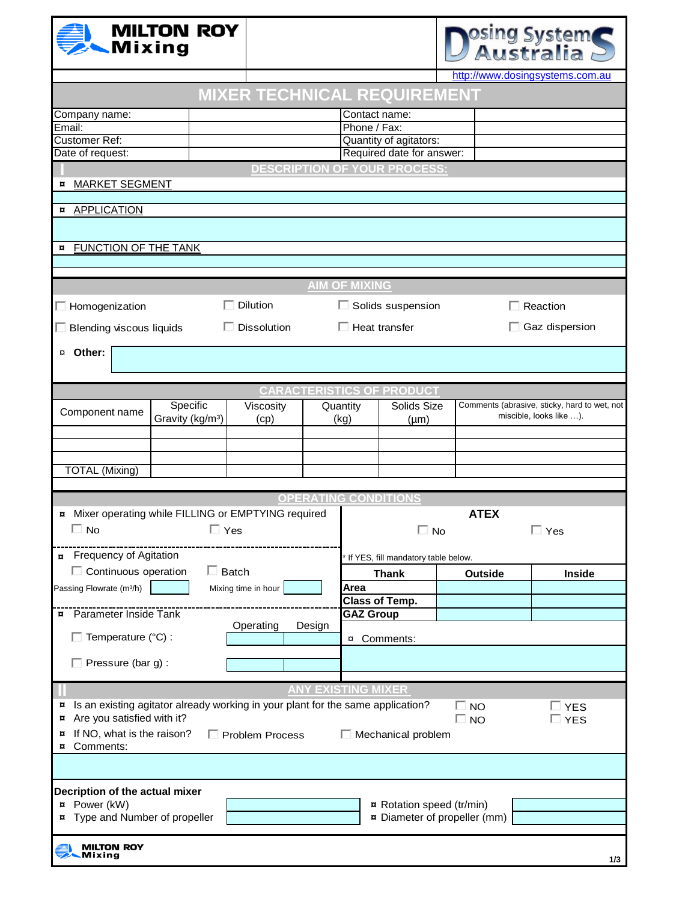| Mixing                                                                               | <b>MILTON ROY</b>                                                                                                       |                                    |  |                               |                                     |                                     | osing System<br>Australia       |  |  |
|--------------------------------------------------------------------------------------|-------------------------------------------------------------------------------------------------------------------------|------------------------------------|--|-------------------------------|-------------------------------------|-------------------------------------|---------------------------------|--|--|
|                                                                                      |                                                                                                                         |                                    |  |                               |                                     |                                     | http://www.dosingsystems.com.au |  |  |
|                                                                                      |                                                                                                                         | <b>MIXER TECHNICAL REQUIREMENT</b> |  |                               |                                     |                                     |                                 |  |  |
| Company name:<br>Email:                                                              |                                                                                                                         |                                    |  | Contact name:<br>Phone / Fax: |                                     |                                     |                                 |  |  |
| <b>Customer Ref:</b>                                                                 |                                                                                                                         |                                    |  | Quantity of agitators:        |                                     |                                     |                                 |  |  |
| Date of request:                                                                     |                                                                                                                         |                                    |  |                               | Required date for answer:           |                                     |                                 |  |  |
|                                                                                      |                                                                                                                         |                                    |  |                               | <b>DESCRIPTION OF YOUR PROCESS:</b> |                                     |                                 |  |  |
| <b>MARKET SEGMENT</b><br>¤                                                           |                                                                                                                         |                                    |  |                               |                                     |                                     |                                 |  |  |
| <b>¤</b> APPLICATION                                                                 |                                                                                                                         |                                    |  |                               |                                     |                                     |                                 |  |  |
|                                                                                      |                                                                                                                         |                                    |  |                               |                                     |                                     |                                 |  |  |
| <b>FUNCTION OF THE TANK</b><br>¤                                                     |                                                                                                                         |                                    |  |                               |                                     |                                     |                                 |  |  |
|                                                                                      |                                                                                                                         |                                    |  |                               |                                     |                                     |                                 |  |  |
|                                                                                      |                                                                                                                         |                                    |  | <b>AIM OF MIXING</b>          |                                     |                                     |                                 |  |  |
| $\Box$ Homogenization                                                                | $\Box$ Dilution                                                                                                         |                                    |  |                               | $\Box$ Solids suspension            |                                     | $\Box$ Reaction                 |  |  |
|                                                                                      | $\Box$ Dissolution<br>$\Box$ Blending viscous liquids                                                                   |                                    |  | $\Box$ Heat transfer          |                                     |                                     | $\Box$ Gaz dispersion           |  |  |
| ¤ Other:                                                                             |                                                                                                                         |                                    |  |                               |                                     |                                     |                                 |  |  |
|                                                                                      |                                                                                                                         |                                    |  |                               |                                     |                                     |                                 |  |  |
|                                                                                      | <b>CARACTERISTICS OF PRODUCT</b><br>Specific<br>Comments (abrasive, sticky, hard to wet, not<br>Quantity<br>Solids Size |                                    |  |                               |                                     |                                     |                                 |  |  |
| Component name                                                                       | Viscosity<br>Gravity (kg/m <sup>3</sup> )<br>(cp)                                                                       |                                    |  | (kg)<br>$(\mu m)$             |                                     | miscible, looks like ).             |                                 |  |  |
|                                                                                      |                                                                                                                         |                                    |  |                               |                                     |                                     |                                 |  |  |
|                                                                                      |                                                                                                                         |                                    |  |                               |                                     |                                     |                                 |  |  |
| <b>TOTAL (Mixing)</b>                                                                |                                                                                                                         |                                    |  |                               |                                     |                                     |                                 |  |  |
|                                                                                      |                                                                                                                         |                                    |  |                               |                                     |                                     |                                 |  |  |
|                                                                                      |                                                                                                                         |                                    |  |                               | <b>OPERATING CONDITIONS</b>         |                                     |                                 |  |  |
| ¤ Mixer operating while FILLING or EMPTYING required                                 |                                                                                                                         |                                    |  |                               |                                     | <b>ATEX</b>                         |                                 |  |  |
| $\Box$ No                                                                            | $\Box$ Yes                                                                                                              |                                    |  |                               | $\Box$ No                           |                                     | $\sqsupset$ Yes                 |  |  |
| <b>Frequency of Agitation</b><br>$\overline{a}$                                      |                                                                                                                         |                                    |  |                               | If YES, fill mandatory table below. |                                     |                                 |  |  |
| $\Box$ Continuous operation                                                          |                                                                                                                         | $\Box$ Batch                       |  |                               | <b>Thank</b>                        | Outside                             | Inside                          |  |  |
| Passing Flowrate (m <sup>3/h)</sup>                                                  |                                                                                                                         | Mixing time in hour                |  | Area                          |                                     |                                     |                                 |  |  |
|                                                                                      |                                                                                                                         |                                    |  |                               | <b>Class of Temp.</b>               |                                     |                                 |  |  |
| <b>¤</b> Parameter Inside Tank                                                       |                                                                                                                         |                                    |  | <b>GAZ Group</b>              |                                     |                                     |                                 |  |  |
| Operating<br>Design                                                                  |                                                                                                                         |                                    |  |                               |                                     |                                     |                                 |  |  |
| $\Box$ Temperature (°C) :<br>¤ Comments:                                             |                                                                                                                         |                                    |  |                               |                                     |                                     |                                 |  |  |
| $\Box$ Pressure (bar g):                                                             |                                                                                                                         |                                    |  |                               |                                     |                                     |                                 |  |  |
|                                                                                      |                                                                                                                         |                                    |  |                               |                                     |                                     |                                 |  |  |
| Is an existing agitator already working in your plant for the same application?<br>¤ |                                                                                                                         |                                    |  | <b>ANY EXISTING MIXER</b>     |                                     |                                     |                                 |  |  |
| Are you satisfied with it?<br>¤                                                      |                                                                                                                         |                                    |  |                               |                                     | $\Box$ No<br>$\Box$ No              | $\Box$ YES<br>□ YES             |  |  |
| ¤                                                                                    | If NO, what is the raison?<br>$\Box$ Mechanical problem<br>$\Box$ Problem Process                                       |                                    |  |                               |                                     |                                     |                                 |  |  |
| Comments:<br>¤                                                                       |                                                                                                                         |                                    |  |                               |                                     |                                     |                                 |  |  |
|                                                                                      |                                                                                                                         |                                    |  |                               |                                     |                                     |                                 |  |  |
| Decription of the actual mixer                                                       |                                                                                                                         |                                    |  |                               |                                     |                                     |                                 |  |  |
| $x$ Power (kW)<br>Rotation speed (tr/min)                                            |                                                                                                                         |                                    |  |                               |                                     |                                     |                                 |  |  |
| Type and Number of propeller                                                         |                                                                                                                         |                                    |  |                               |                                     | <b>¤</b> Diameter of propeller (mm) |                                 |  |  |
|                                                                                      |                                                                                                                         |                                    |  |                               |                                     |                                     |                                 |  |  |
| <b>MILTON ROY</b><br>Mixina                                                          |                                                                                                                         |                                    |  |                               |                                     |                                     | 1/3                             |  |  |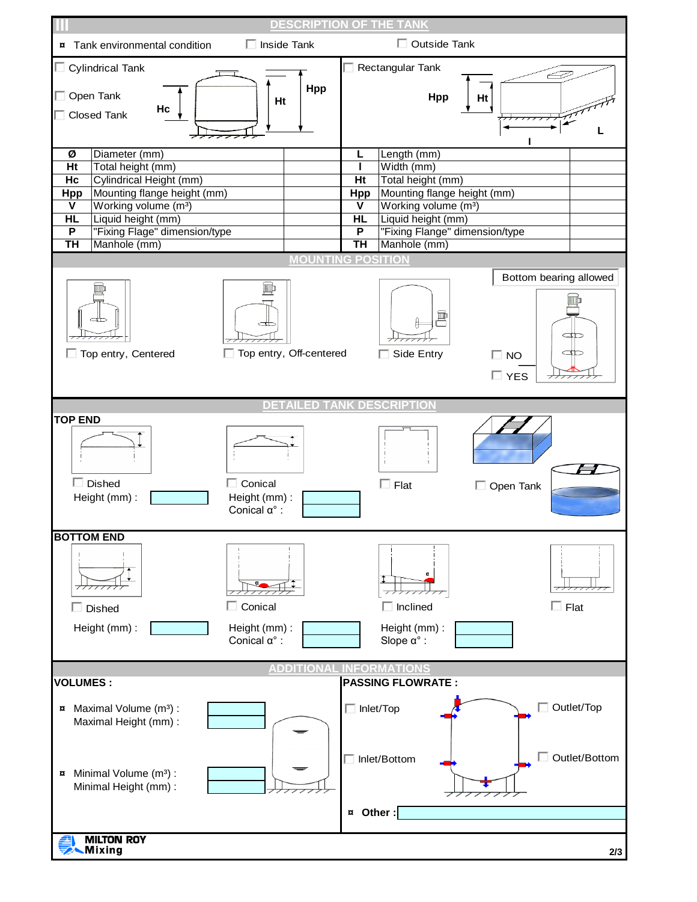